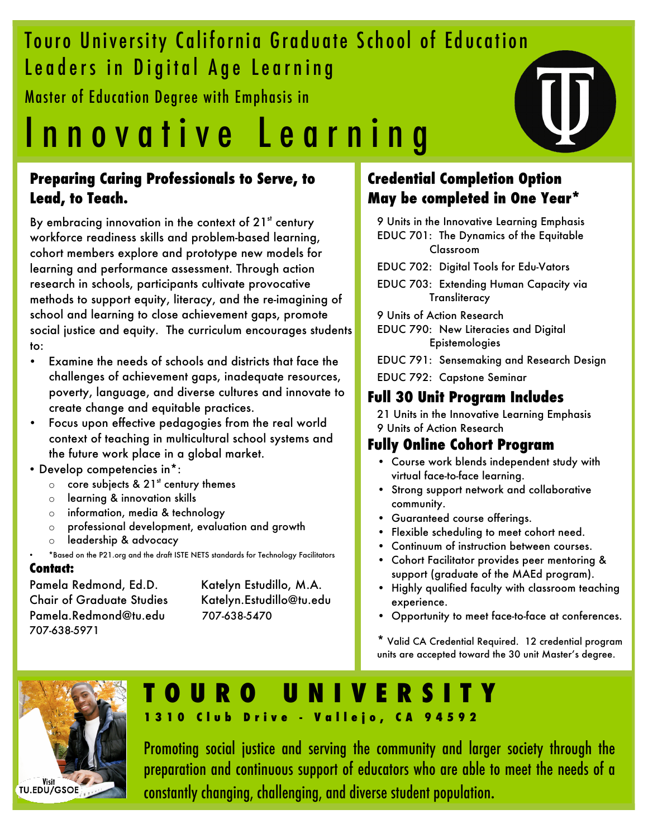## Touro University California Graduate School of Education Leaders in Digital Age Learning

Master of Education Degree with Emphasis in

# Innovative Learnin g

## **Preparing Caring Professionals to Serve, to Lead, to Teach.**

By embracing innovation in the context of  $21<sup>st</sup>$  century workforce readiness skills and problem-based learning, cohort members explore and prototype new models for learning and performance assessment. Through action research in schools, participants cultivate provocative methods to support equity, literacy, and the re-imagining of school and learning to close achievement gaps, promote social justice and equity. The curriculum encourages students to:

- Examine the needs of schools and districts that face the challenges of achievement gaps, inadequate resources, poverty, language, and diverse cultures and innovate to create change and equitable practices.
- Focus upon effective pedagogies from the real world context of teaching in multicultural school systems and the future work place in a global market.
- Develop competencies in\*:
	- $\circ$  core subjects & 21<sup>st</sup> century themes
	- o learning & innovation skills
	- o information, media & technology
	- o professional development, evaluation and growth
	- o leadership & advocacy
	- \*Based on the P21.org and the draft ISTE NETS standards for Technology Facilitators

#### • **Contact:**

Pamela Redmond, Ed.D. Katelyn Estudillo, M.A. Chair of Graduate Studies Katelyn.Estudillo@tu.edu Pamela.Redmond@tu.edu 707-638-5470 707-638-5971

## **Credential Completion Option May be completed in One Year\***

9 Units in the Innovative Learning Emphasis EDUC 701: The Dynamics of the Equitable Classroom

- EDUC 702: Digital Tools for Edu-Vators
- EDUC 703: Extending Human Capacity via **Transliteracy**

9 Units of Action Research

EDUC 790: New Literacies and Digital Epistemologies

EDUC 791: Sensemaking and Research Design

EDUC 792: Capstone Seminar

## **Full 30 Unit Program Includes**

21 Units in the Innovative Learning Emphasis 9 Units of Action Research

## **Fully Online Cohort Program**

- Course work blends independent study with virtual face-to-face learning.
- Strong support network and collaborative community.
- Guaranteed course offerings.
- Flexible scheduling to meet cohort need.
- Continuum of instruction between courses.
- Cohort Facilitator provides peer mentoring & support (graduate of the MAEd program).
- Highly qualified faculty with classroom teaching experience.
- Opportunity to meet face-to-face at conferences.

\* Valid CA Credential Required. 12 credential program units are accepted toward the 30 unit Master's degree.



## **URO UNIVERS 1310 Club Drive - Vallejo, CA 94592**

Promoting social justice and serving the community and larger society through the preparation and continuous support of educators who are able to meet the needs of a constantly changing, challenging, and diverse student population.